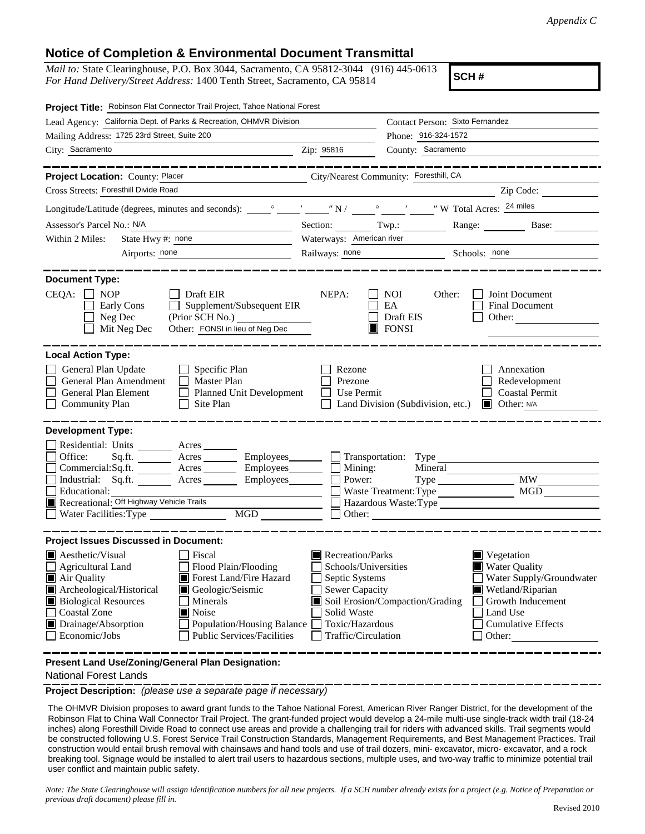## **Notice of Completion & Environmental Document Transmittal**

*Mail to:* State Clearinghouse, P.O. Box 3044, Sacramento, CA 95812-3044 (916) 445-0613 *For Hand Delivery/Street Address:* 1400 Tenth Street, Sacramento, CA 95814

**SCH #**

| Project Title: Robinson Flat Connector Trail Project, Tahoe National Forest                                                                                                                                                                                                                                                                          |                                                                                                                                              |                                                                                             |                                                                                                                                                            |
|------------------------------------------------------------------------------------------------------------------------------------------------------------------------------------------------------------------------------------------------------------------------------------------------------------------------------------------------------|----------------------------------------------------------------------------------------------------------------------------------------------|---------------------------------------------------------------------------------------------|------------------------------------------------------------------------------------------------------------------------------------------------------------|
| Lead Agency: California Dept. of Parks & Recreation, OHMVR Division                                                                                                                                                                                                                                                                                  |                                                                                                                                              | Contact Person: Sixto Fernandez                                                             |                                                                                                                                                            |
| Mailing Address: 1725 23rd Street, Suite 200                                                                                                                                                                                                                                                                                                         |                                                                                                                                              | Phone: 916-324-1572                                                                         |                                                                                                                                                            |
| City: Sacramento                                                                                                                                                                                                                                                                                                                                     | Zip: 95816                                                                                                                                   | County: Sacramento                                                                          |                                                                                                                                                            |
| Project Location: County: Placer<br>Cross Streets: Foresthill Divide Road                                                                                                                                                                                                                                                                            |                                                                                                                                              | City/Nearest Community: Foresthill, CA                                                      | Zip Code:                                                                                                                                                  |
|                                                                                                                                                                                                                                                                                                                                                      |                                                                                                                                              |                                                                                             |                                                                                                                                                            |
| Assessor's Parcel No.: N/A                                                                                                                                                                                                                                                                                                                           |                                                                                                                                              |                                                                                             | Section: Twp.: Range: Base:                                                                                                                                |
| State Hwy #: none<br>Within 2 Miles:                                                                                                                                                                                                                                                                                                                 | Waterways: American river                                                                                                                    |                                                                                             |                                                                                                                                                            |
| the control of the control of the control of<br>Airports: none                                                                                                                                                                                                                                                                                       |                                                                                                                                              | Railways: none Schools: none                                                                |                                                                                                                                                            |
|                                                                                                                                                                                                                                                                                                                                                      |                                                                                                                                              |                                                                                             |                                                                                                                                                            |
| <b>Document Type:</b><br>$CEQA: \Box NOP$<br>Draft EIR<br>Early Cons<br>Supplement/Subsequent EIR<br>$\perp$<br>Neg Dec<br>(Prior SCH No.)<br>Other: FONSI in lieu of Neg Dec<br>Mit Neg Dec                                                                                                                                                         | NEPA:                                                                                                                                        | NOI.<br>Other:<br>EA<br>Draft EIS<br>$\blacksquare$ FONSI                                   | Joint Document<br><b>Final Document</b><br>Other:                                                                                                          |
| <b>Local Action Type:</b><br>General Plan Update<br>Specific Plan<br>General Plan Amendment<br>Master Plan<br>$\Box$<br>General Plan Element<br>Planned Unit Development<br>Site Plan<br><b>Community Plan</b>                                                                                                                                       | Rezone<br>Prezone<br>Use Permit                                                                                                              | Land Division (Subdivision, etc.)                                                           | Annexation<br>Redevelopment<br><b>Coastal Permit</b><br>$\Box$ Other: N/A                                                                                  |
| <b>Development Type:</b>                                                                                                                                                                                                                                                                                                                             |                                                                                                                                              |                                                                                             |                                                                                                                                                            |
| Residential: Units ________ Acres _______<br>Office:<br>Sq.ft. _________ Acres __________ Employees________<br>Employees________<br>Commercial:Sq.ft. _________ Acres _______<br>Industrial: Sq.ft. _______ Acres ______<br>Employees<br>Educational:<br>Recreational: Off Highway Vehicle Trails<br><b>MGD</b><br>$\Box$ Water Facilities: Type     | Mining:<br>Power:                                                                                                                            | Transportation: Type<br>Mineral<br>Waste Treatment: Type<br>Hazardous Waste: Type<br>Other: | MW<br><b>MGD</b>                                                                                                                                           |
| <b>Project Issues Discussed in Document:</b>                                                                                                                                                                                                                                                                                                         |                                                                                                                                              |                                                                                             |                                                                                                                                                            |
| Aesthetic/Visual<br>  Fiscal<br>Flood Plain/Flooding<br>Agricultural Land<br>Air Quality<br>Forest Land/Fire Hazard<br>Archeological/Historical<br>Geologic/Seismic<br><b>Biological Resources</b><br>Minerals<br>Coastal Zone<br>■ Noise<br>Drainage/Absorption<br>Population/Housing Balance<br>Economic/Jobs<br><b>Public Services/Facilities</b> | Recreation/Parks<br>Schools/Universities<br>Septic Systems<br><b>Sewer Capacity</b><br>Solid Waste<br>Toxic/Hazardous<br>Traffic/Circulation | Soil Erosion/Compaction/Grading                                                             | Vegetation<br><b>Water Quality</b><br>Water Supply/Groundwater<br>Wetland/Riparian<br>Growth Inducement<br>Land Use<br><b>Cumulative Effects</b><br>Other: |
| Present Land Use/Zoning/General Plan Designation:                                                                                                                                                                                                                                                                                                    |                                                                                                                                              |                                                                                             |                                                                                                                                                            |

National Forest Lands

**Project Description:** *(please use a separate page if necessary)*

 The OHMVR Division proposes to award grant funds to the Tahoe National Forest, American River Ranger District, for the development of the Robinson Flat to China Wall Connector Trail Project. The grant-funded project would develop a 24-mile multi-use single-track width trail (18-24 inches) along Foresthill Divide Road to connect use areas and provide a challenging trail for riders with advanced skills. Trail segments would be constructed following U.S. Forest Service Trail Construction Standards, Management Requirements, and Best Management Practices. Trail construction would entail brush removal with chainsaws and hand tools and use of trail dozers, mini- excavator, micro- excavator, and a rock breaking tool. Signage would be installed to alert trail users to hazardous sections, multiple uses, and two-way traffic to minimize potential trail user conflict and maintain public safety.

*Note: The State Clearinghouse will assign identification numbers for all new projects. If a SCH number already exists for a project (e.g. Notice of Preparation or previous draft document) please fill in.*